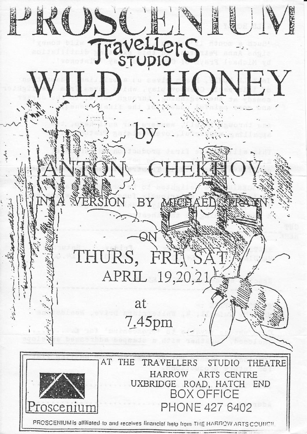